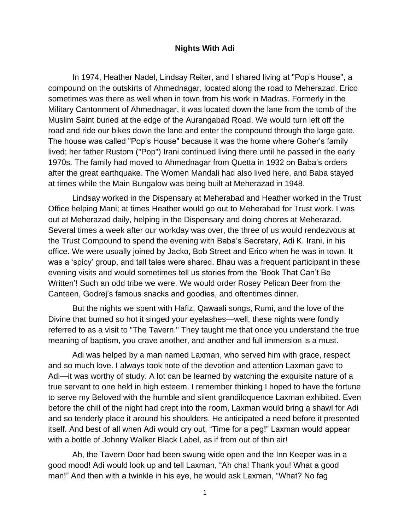## **Nights With Adi**

In 1974, Heather Nadel, Lindsay Reiter, and I shared living at "Pop's House", a compound on the outskirts of Ahmednagar, located along the road to Meherazad. Erico sometimes was there as well when in town from his work in Madras. Formerly in the Military Cantonment of Ahmednagar, it was located down the lane from the tomb of the Muslim Saint buried at the edge of the Aurangabad Road. We would turn left off the road and ride our bikes down the lane and enter the compound through the large gate. The house was called "Pop's House" because it was the home where Goher's family lived; her father Rustom ("Pop") Irani continued living there until he passed in the early 1970s. The family had moved to Ahmednagar from Quetta in 1932 on Baba's orders after the great earthquake. The Women Mandali had also lived here, and Baba stayed at times while the Main Bungalow was being built at Meherazad in 1948.

Lindsay worked in the Dispensary at Meherabad and Heather worked in the Trust Office helping Mani; at times Heather would go out to Meherabad for Trust work. I was out at Meherazad daily, helping in the Dispensary and doing chores at Meherazad. Several times a week after our workday was over, the three of us would rendezvous at the Trust Compound to spend the evening with Baba's Secretary, Adi K. Irani, in his office. We were usually joined by Jacko, Bob Street and Erico when he was in town. It was a 'spicy' group, and tall tales were shared. Bhau was a frequent participant in these evening visits and would sometimes tell us stories from the 'Book That Can't Be Written'! Such an odd tribe we were. We would order Rosey Pelican Beer from the Canteen, Godrej's famous snacks and goodies, and oftentimes dinner.

But the nights we spent with Hafiz, Qawaali songs, Rumi, and the love of the Divine that burned so hot it singed your eyelashes—well, these nights were fondly referred to as a visit to "The Tavern." They taught me that once you understand the true meaning of baptism, you crave another, and another and full immersion is a must.

Adi was helped by a man named Laxman, who served him with grace, respect and so much love. I always took note of the devotion and attention Laxman gave to Adi—it was worthy of study. A lot can be learned by watching the exquisite nature of a true servant to one held in high esteem. I remember thinking I hoped to have the fortune to serve my Beloved with the humble and silent grandiloquence Laxman exhibited. Even before the chill of the night had crept into the room, Laxman would bring a shawl for Adi and so tenderly place it around his shoulders. He anticipated a need before it presented itself. And best of all when Adi would cry out, "Time for a peg!" Laxman would appear with a bottle of Johnny Walker Black Label, as if from out of thin air!

Ah, the Tavern Door had been swung wide open and the Inn Keeper was in a good mood! Adi would look up and tell Laxman, "Ah cha! Thank you! What a good man!" And then with a twinkle in his eye, he would ask Laxman, "What? No fag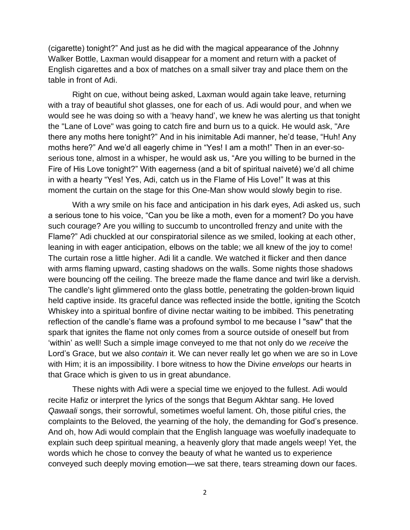(cigarette) tonight?" And just as he did with the magical appearance of the Johnny Walker Bottle, Laxman would disappear for a moment and return with a packet of English cigarettes and a box of matches on a small silver tray and place them on the table in front of Adi.

Right on cue, without being asked, Laxman would again take leave, returning with a tray of beautiful shot glasses, one for each of us. Adi would pour, and when we would see he was doing so with a 'heavy hand', we knew he was alerting us that tonight the "Lane of Love" was going to catch fire and burn us to a quick. He would ask, "Are there any moths here tonight?" And in his inimitable Adi manner, he'd tease, "Huh! Any moths here?" And we'd all eagerly chime in "Yes! I am a moth!" Then in an ever-soserious tone, almost in a whisper, he would ask us, "Are you willing to be burned in the Fire of His Love tonight?" With eagerness (and a bit of spiritual naiveté) we'd all chime in with a hearty "Yes! Yes, Adi, catch us in the Flame of His Love!" It was at this moment the curtain on the stage for this One-Man show would slowly begin to rise.

With a wry smile on his face and anticipation in his dark eyes, Adi asked us, such a serious tone to his voice, "Can you be like a moth, even for a moment? Do you have such courage? Are you willing to succumb to uncontrolled frenzy and unite with the Flame?" Adi chuckled at our conspiratorial silence as we smiled, looking at each other, leaning in with eager anticipation, elbows on the table; we all knew of the joy to come! The curtain rose a little higher. Adi lit a candle. We watched it flicker and then dance with arms flaming upward, casting shadows on the walls. Some nights those shadows were bouncing off the ceiling. The breeze made the flame dance and twirl like a dervish. The candle's light glimmered onto the glass bottle, penetrating the golden-brown liquid held captive inside. Its graceful dance was reflected inside the bottle, igniting the Scotch Whiskey into a spiritual bonfire of divine nectar waiting to be imbibed. This penetrating reflection of the candle's flame was a profound symbol to me because I "saw" that the spark that ignites the flame not only comes from a source outside of oneself but from 'within' as well! Such a simple image conveyed to me that not only do we *receive* the Lord's Grace, but we also *contain* it. We can never really let go when we are so in Love with Him; it is an impossibility. I bore witness to how the Divine *envelops* our hearts in that Grace which is given to us in great abundance.

These nights with Adi were a special time we enjoyed to the fullest. Adi would recite Hafiz or interpret the lyrics of the songs that Begum Akhtar sang. He loved *Qawaali* songs, their sorrowful, sometimes woeful lament. Oh, those pitiful cries, the complaints to the Beloved, the yearning of the holy, the demanding for God's presence. And oh, how Adi would complain that the English language was woefully inadequate to explain such deep spiritual meaning, a heavenly glory that made angels weep! Yet, the words which he chose to convey the beauty of what he wanted us to experience conveyed such deeply moving emotion—we sat there, tears streaming down our faces.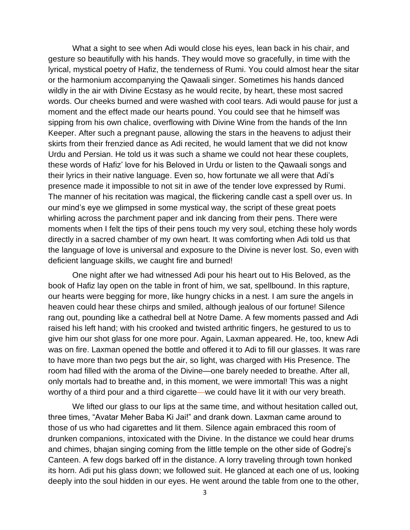What a sight to see when Adi would close his eyes, lean back in his chair, and gesture so beautifully with his hands. They would move so gracefully, in time with the lyrical, mystical poetry of Hafiz, the tenderness of Rumi. You could almost hear the sitar or the harmonium accompanying the Qawaali singer. Sometimes his hands danced wildly in the air with Divine Ecstasy as he would recite, by heart, these most sacred words. Our cheeks burned and were washed with cool tears. Adi would pause for just a moment and the effect made our hearts pound. You could see that he himself was sipping from his own chalice, overflowing with Divine Wine from the hands of the Inn Keeper. After such a pregnant pause, allowing the stars in the heavens to adjust their skirts from their frenzied dance as Adi recited, he would lament that we did not know Urdu and Persian. He told us it was such a shame we could not hear these couplets, these words of Hafiz' love for his Beloved in Urdu or listen to the Qawaali songs and their lyrics in their native language. Even so, how fortunate we all were that Adi's presence made it impossible to not sit in awe of the tender love expressed by Rumi. The manner of his recitation was magical, the flickering candle cast a spell over us. In our mind's eye we glimpsed in some mystical way, the script of these great poets whirling across the parchment paper and ink dancing from their pens. There were moments when I felt the tips of their pens touch my very soul, etching these holy words directly in a sacred chamber of my own heart. It was comforting when Adi told us that the language of love is universal and exposure to the Divine is never lost. So, even with deficient language skills, we caught fire and burned!

One night after we had witnessed Adi pour his heart out to His Beloved, as the book of Hafiz lay open on the table in front of him, we sat, spellbound. In this rapture, our hearts were begging for more, like hungry chicks in a nest. I am sure the angels in heaven could hear these chirps and smiled, although jealous of our fortune! Silence rang out, pounding like a cathedral bell at Notre Dame. A few moments passed and Adi raised his left hand; with his crooked and twisted arthritic fingers, he gestured to us to give him our shot glass for one more pour. Again, Laxman appeared. He, too, knew Adi was on fire. Laxman opened the bottle and offered it to Adi to fill our glasses. It was rare to have more than two pegs but the air, so light, was charged with His Presence. The room had filled with the aroma of the Divine—one barely needed to breathe. After all, only mortals had to breathe and, in this moment, we were immortal! This was a night worthy of a third pour and a third cigarette—we could have lit it with our very breath.

We lifted our glass to our lips at the same time, and without hesitation called out, three times, "Avatar Meher Baba Ki Jai!" and drank down. Laxman came around to those of us who had cigarettes and lit them. Silence again embraced this room of drunken companions, intoxicated with the Divine. In the distance we could hear drums and chimes, bhajan singing coming from the little temple on the other side of Godrej's Canteen. A few dogs barked off in the distance. A lorry traveling through town honked its horn. Adi put his glass down; we followed suit. He glanced at each one of us, looking deeply into the soul hidden in our eyes. He went around the table from one to the other,